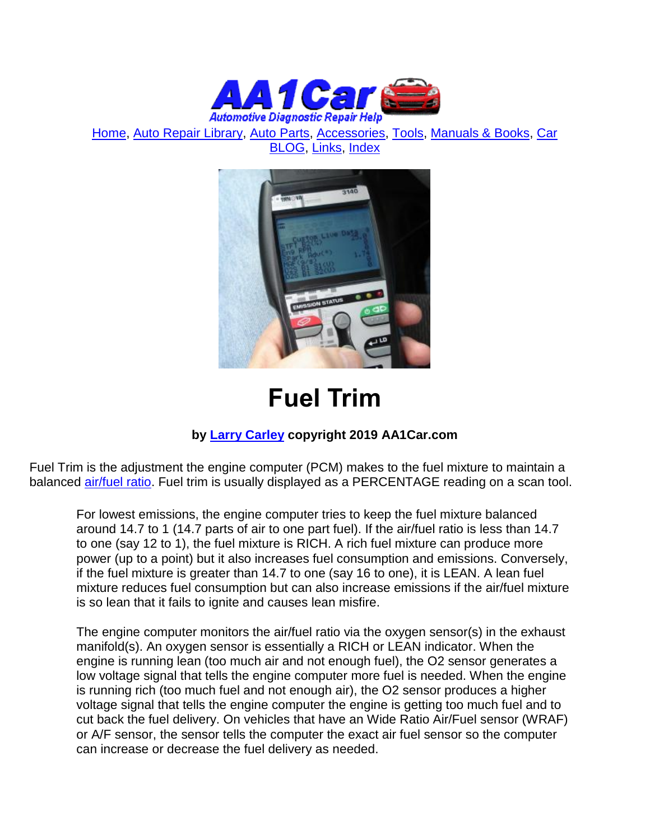

[Home,](http://www.aa1car.com/) [Auto Repair Library,](http://www.aa1car.com/library.htm) [Auto Parts,](http://www.aa1car.com/links_parts.htm) [Accessories,](http://www.aa1car.com/links_accessories.htm) [Tools,](http://www.aa1car.com/links_tools.htm) [Manuals & Books,](http://www.aa1car.com/links_books.htm) [Car](http://www.aa1car.com/blog/blog.htm)  [BLOG,](http://www.aa1car.com/blog/blog.htm) [Links,](http://www.aa1car.com/links.htm) [Index](http://www.aa1car.com/index_alphabetical.htm)



# **Fuel Trim**

#### **by [Larry Carley](https://www.aa1car.com/larrypage/larrycarley_photos.htm) copyright 2019 AA1Car.com**

Fuel Trim is the adjustment the engine computer (PCM) makes to the fuel mixture to maintain a balanced [air/fuel ratio.](https://www.aa1car.com/library/air_fuel_ratios.htm) Fuel trim is usually displayed as a PERCENTAGE reading on a scan tool.

For lowest emissions, the engine computer tries to keep the fuel mixture balanced around 14.7 to 1 (14.7 parts of air to one part fuel). If the air/fuel ratio is less than 14.7 to one (say 12 to 1), the fuel mixture is RICH. A rich fuel mixture can produce more power (up to a point) but it also increases fuel consumption and emissions. Conversely, if the fuel mixture is greater than 14.7 to one (say 16 to one), it is LEAN. A lean fuel mixture reduces fuel consumption but can also increase emissions if the air/fuel mixture is so lean that it fails to ignite and causes lean misfire.

The engine computer monitors the air/fuel ratio via the oxygen sensor(s) in the exhaust manifold(s). An oxygen sensor is essentially a RICH or LEAN indicator. When the engine is running lean (too much air and not enough fuel), the O2 sensor generates a low voltage signal that tells the engine computer more fuel is needed. When the engine is running rich (too much fuel and not enough air), the O2 sensor produces a higher voltage signal that tells the engine computer the engine is getting too much fuel and to cut back the fuel delivery. On vehicles that have an Wide Ratio Air/Fuel sensor (WRAF) or A/F sensor, the sensor tells the computer the exact air fuel sensor so the computer can increase or decrease the fuel delivery as needed.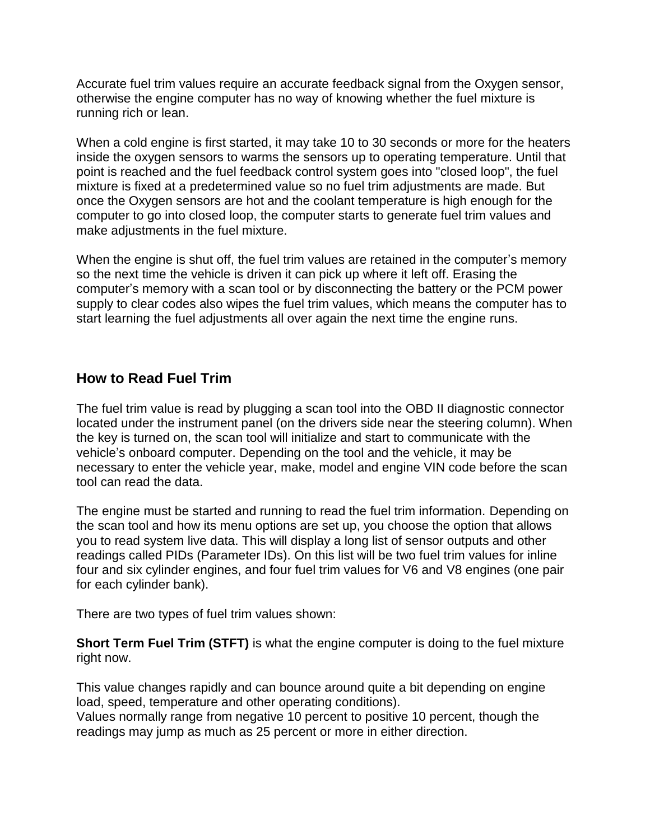Accurate fuel trim values require an accurate feedback signal from the Oxygen sensor, otherwise the engine computer has no way of knowing whether the fuel mixture is running rich or lean.

When a cold engine is first started, it may take 10 to 30 seconds or more for the heaters inside the oxygen sensors to warms the sensors up to operating temperature. Until that point is reached and the fuel feedback control system goes into "closed loop", the fuel mixture is fixed at a predetermined value so no fuel trim adjustments are made. But once the Oxygen sensors are hot and the coolant temperature is high enough for the computer to go into closed loop, the computer starts to generate fuel trim values and make adjustments in the fuel mixture.

When the engine is shut off, the fuel trim values are retained in the computer's memory so the next time the vehicle is driven it can pick up where it left off. Erasing the computer's memory with a scan tool or by disconnecting the battery or the PCM power supply to clear codes also wipes the fuel trim values, which means the computer has to start learning the fuel adjustments all over again the next time the engine runs.

### **How to Read Fuel Trim**

The fuel trim value is read by plugging a scan tool into the OBD II diagnostic connector located under the instrument panel (on the drivers side near the steering column). When the key is turned on, the scan tool will initialize and start to communicate with the vehicle's onboard computer. Depending on the tool and the vehicle, it may be necessary to enter the vehicle year, make, model and engine VIN code before the scan tool can read the data.

The engine must be started and running to read the fuel trim information. Depending on the scan tool and how its menu options are set up, you choose the option that allows you to read system live data. This will display a long list of sensor outputs and other readings called PIDs (Parameter IDs). On this list will be two fuel trim values for inline four and six cylinder engines, and four fuel trim values for V6 and V8 engines (one pair for each cylinder bank).

There are two types of fuel trim values shown:

**Short Term Fuel Trim (STFT)** is what the engine computer is doing to the fuel mixture right now.

This value changes rapidly and can bounce around quite a bit depending on engine load, speed, temperature and other operating conditions).

Values normally range from negative 10 percent to positive 10 percent, though the readings may jump as much as 25 percent or more in either direction.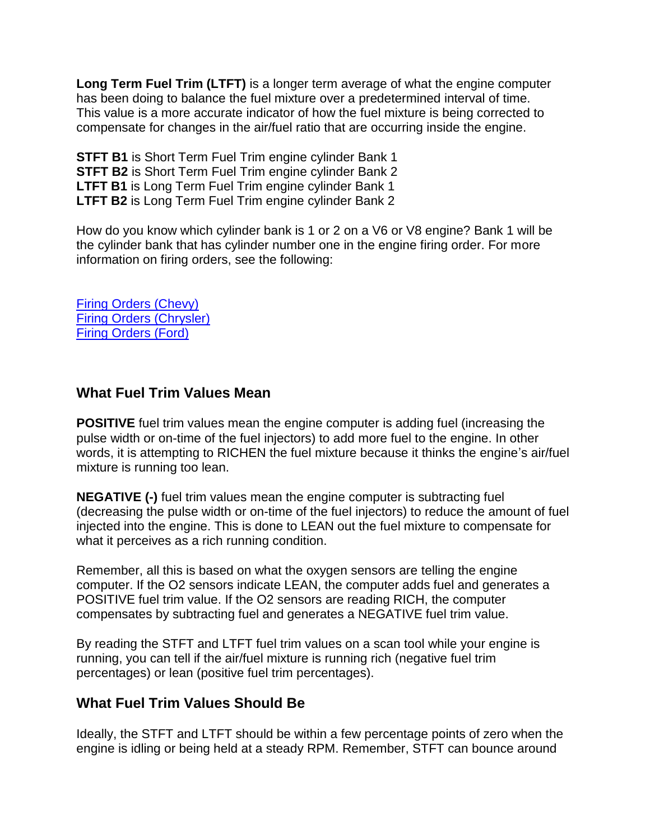**Long Term Fuel Trim (LTFT)** is a longer term average of what the engine computer has been doing to balance the fuel mixture over a predetermined interval of time. This value is a more accurate indicator of how the fuel mixture is being corrected to compensate for changes in the air/fuel ratio that are occurring inside the engine.

**STFT B1** is Short Term Fuel Trim engine cylinder Bank 1 **STFT B2** is Short Term Fuel Trim engine cylinder Bank 2 **LTFT B1** is Long Term Fuel Trim engine cylinder Bank 1 **LTFT B2** is Long Term Fuel Trim engine cylinder Bank 2

How do you know which cylinder bank is 1 or 2 on a V6 or V8 engine? Bank 1 will be the cylinder bank that has cylinder number one in the engine firing order. For more information on firing orders, see the following:

[Firing Orders \(Chevy\)](http://www.aa1car.com/library/chevy_firing_orders.htm) [Firing Orders \(Chrysler\)](http://www.aa1car.com/library/chrysler_firing_orders.htm) [Firing Orders \(Ford\)](http://www.aa1car.com/library/ford_firing_orders.htm)

#### **What Fuel Trim Values Mean**

**POSITIVE** fuel trim values mean the engine computer is adding fuel (increasing the pulse width or on-time of the fuel injectors) to add more fuel to the engine. In other words, it is attempting to RICHEN the fuel mixture because it thinks the engine's air/fuel mixture is running too lean.

**NEGATIVE (-)** fuel trim values mean the engine computer is subtracting fuel (decreasing the pulse width or on-time of the fuel injectors) to reduce the amount of fuel injected into the engine. This is done to LEAN out the fuel mixture to compensate for what it perceives as a rich running condition.

Remember, all this is based on what the oxygen sensors are telling the engine computer. If the O2 sensors indicate LEAN, the computer adds fuel and generates a POSITIVE fuel trim value. If the O2 sensors are reading RICH, the computer compensates by subtracting fuel and generates a NEGATIVE fuel trim value.

By reading the STFT and LTFT fuel trim values on a scan tool while your engine is running, you can tell if the air/fuel mixture is running rich (negative fuel trim percentages) or lean (positive fuel trim percentages).

#### **What Fuel Trim Values Should Be**

Ideally, the STFT and LTFT should be within a few percentage points of zero when the engine is idling or being held at a steady RPM. Remember, STFT can bounce around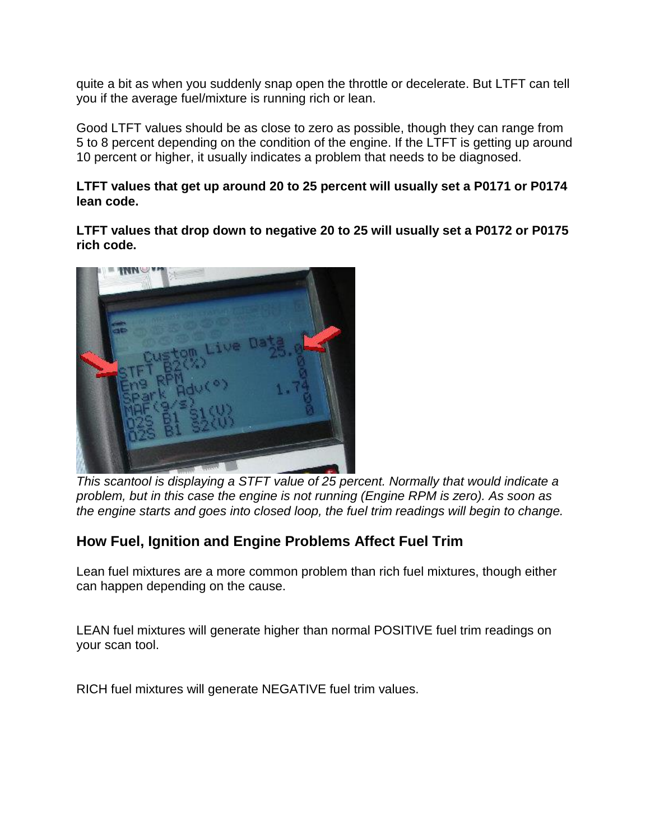quite a bit as when you suddenly snap open the throttle or decelerate. But LTFT can tell you if the average fuel/mixture is running rich or lean.

Good LTFT values should be as close to zero as possible, though they can range from 5 to 8 percent depending on the condition of the engine. If the LTFT is getting up around 10 percent or higher, it usually indicates a problem that needs to be diagnosed.

**LTFT values that get up around 20 to 25 percent will usually set a P0171 or P0174 lean code.**

**LTFT values that drop down to negative 20 to 25 will usually set a P0172 or P0175 rich code.**



*This scantool is displaying a STFT value of 25 percent. Normally that would indicate a problem, but in this case the engine is not running (Engine RPM is zero). As soon as the engine starts and goes into closed loop, the fuel trim readings will begin to change.*

## **How Fuel, Ignition and Engine Problems Affect Fuel Trim**

Lean fuel mixtures are a more common problem than rich fuel mixtures, though either can happen depending on the cause.

LEAN fuel mixtures will generate higher than normal POSITIVE fuel trim readings on your scan tool.

RICH fuel mixtures will generate NEGATIVE fuel trim values.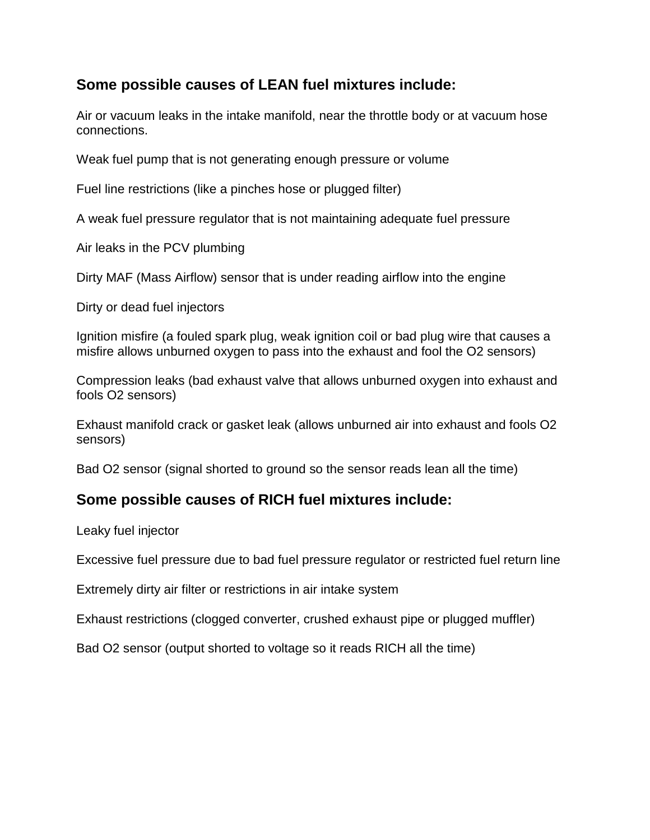## **Some possible causes of LEAN fuel mixtures include:**

Air or vacuum leaks in the intake manifold, near the throttle body or at vacuum hose connections.

Weak fuel pump that is not generating enough pressure or volume

Fuel line restrictions (like a pinches hose or plugged filter)

A weak fuel pressure regulator that is not maintaining adequate fuel pressure

Air leaks in the PCV plumbing

Dirty MAF (Mass Airflow) sensor that is under reading airflow into the engine

Dirty or dead fuel injectors

Ignition misfire (a fouled spark plug, weak ignition coil or bad plug wire that causes a misfire allows unburned oxygen to pass into the exhaust and fool the O2 sensors)

Compression leaks (bad exhaust valve that allows unburned oxygen into exhaust and fools O2 sensors)

Exhaust manifold crack or gasket leak (allows unburned air into exhaust and fools O2 sensors)

Bad O2 sensor (signal shorted to ground so the sensor reads lean all the time)

## **Some possible causes of RICH fuel mixtures include:**

Leaky fuel injector

Excessive fuel pressure due to bad fuel pressure regulator or restricted fuel return line

Extremely dirty air filter or restrictions in air intake system

Exhaust restrictions (clogged converter, crushed exhaust pipe or plugged muffler)

Bad O2 sensor (output shorted to voltage so it reads RICH all the time)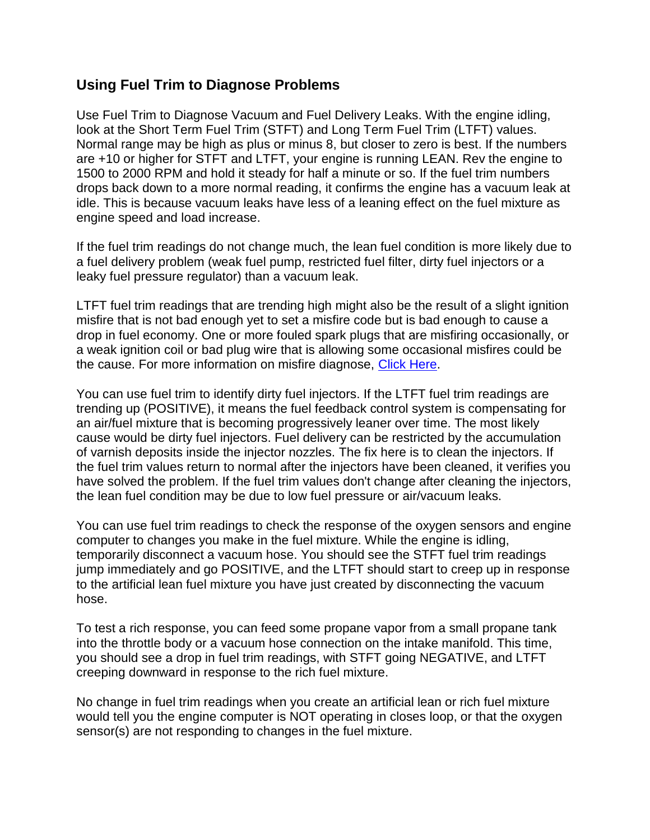#### **Using Fuel Trim to Diagnose Problems**

Use Fuel Trim to Diagnose Vacuum and Fuel Delivery Leaks. With the engine idling, look at the Short Term Fuel Trim (STFT) and Long Term Fuel Trim (LTFT) values. Normal range may be high as plus or minus 8, but closer to zero is best. If the numbers are +10 or higher for STFT and LTFT, your engine is running LEAN. Rev the engine to 1500 to 2000 RPM and hold it steady for half a minute or so. If the fuel trim numbers drops back down to a more normal reading, it confirms the engine has a vacuum leak at idle. This is because vacuum leaks have less of a leaning effect on the fuel mixture as engine speed and load increase.

If the fuel trim readings do not change much, the lean fuel condition is more likely due to a fuel delivery problem (weak fuel pump, restricted fuel filter, dirty fuel injectors or a leaky fuel pressure regulator) than a vacuum leak.

LTFT fuel trim readings that are trending high might also be the result of a slight ignition misfire that is not bad enough yet to set a misfire code but is bad enough to cause a drop in fuel economy. One or more fouled spark plugs that are misfiring occasionally, or a weak ignition coil or bad plug wire that is allowing some occasional misfires could be the cause. For more information on misfire diagnose, [Click Here.](http://www.aa1car.com/library/misfire.htm)

You can use fuel trim to identify dirty fuel injectors. If the LTFT fuel trim readings are trending up (POSITIVE), it means the fuel feedback control system is compensating for an air/fuel mixture that is becoming progressively leaner over time. The most likely cause would be dirty fuel injectors. Fuel delivery can be restricted by the accumulation of varnish deposits inside the injector nozzles. The fix here is to clean the injectors. If the fuel trim values return to normal after the injectors have been cleaned, it verifies you have solved the problem. If the fuel trim values don't change after cleaning the injectors, the lean fuel condition may be due to low fuel pressure or air/vacuum leaks.

You can use fuel trim readings to check the response of the oxygen sensors and engine computer to changes you make in the fuel mixture. While the engine is idling, temporarily disconnect a vacuum hose. You should see the STFT fuel trim readings jump immediately and go POSITIVE, and the LTFT should start to creep up in response to the artificial lean fuel mixture you have just created by disconnecting the vacuum hose.

To test a rich response, you can feed some propane vapor from a small propane tank into the throttle body or a vacuum hose connection on the intake manifold. This time, you should see a drop in fuel trim readings, with STFT going NEGATIVE, and LTFT creeping downward in response to the rich fuel mixture.

No change in fuel trim readings when you create an artificial lean or rich fuel mixture would tell you the engine computer is NOT operating in closes loop, or that the oxygen sensor(s) are not responding to changes in the fuel mixture.